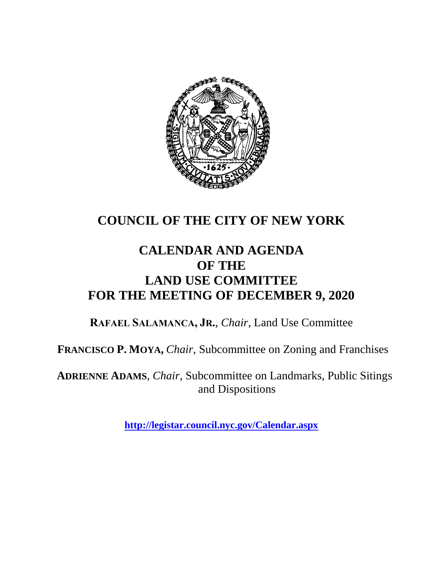

# **COUNCIL OF THE CITY OF NEW YORK**

# **CALENDAR AND AGENDA OF THE LAND USE COMMITTEE FOR THE MEETING OF DECEMBER 9, 2020**

**RAFAEL SALAMANCA, JR.**, *Chair*, Land Use Committee

**FRANCISCO P. MOYA,** *Chair,* Subcommittee on Zoning and Franchises

**ADRIENNE ADAMS**, *Chair*, Subcommittee on Landmarks, Public Sitings and Dispositions

**<http://legistar.council.nyc.gov/Calendar.aspx>**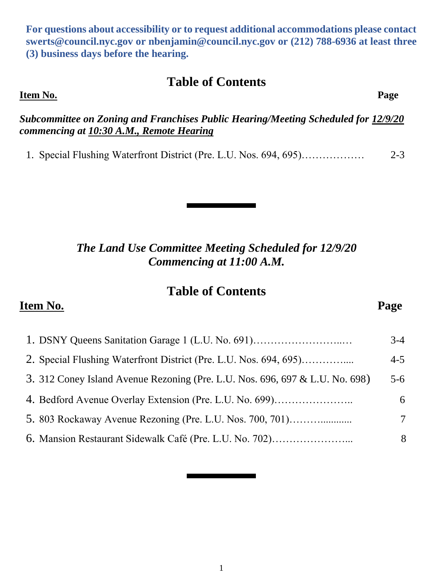1

**For questions about accessibility or to request additional accommodations please contact [swerts@council.nyc.gov](mailto:swerts@council.nyc.gov) or [nbenjamin@council.nyc.gov](mailto:nbenjamin@council.nyc.gov) or (212) 788-6936 at least three (3) business days before the hearing.**

## **Table of Contents**

**Item No. Page** 

*Subcommittee on Zoning and Franchises Public Hearing/Meeting Scheduled for 12/9/20 commencing at 10:30 A.M., Remote Hearing*

1. Special Flushing Waterfront District (Pre. L.U. Nos. 694, 695)……………… 2-3

*The Land Use Committee Meeting Scheduled for 12/9/20 Commencing at 11:00 A.M.*

#### **Table of Contents**

#### **Item No. Page**

1. DSNY Queens Sanitation Garage 1 (L.U. No. 691)……………………..… 3-4 2. Special Flushing Waterfront District (Pre. L.U. Nos. 694, 695)………….... 4-5 3. 312 Coney Island Avenue Rezoning (Pre. L.U. Nos. 696, 697 & L.U. No. 698) 5-6 4. Bedford Avenue Overlay Extension (Pre. L.U. No. 699)………………….. 6 5. 803 Rockaway Avenue Rezoning (Pre. L.U. Nos. 700, 701)………............ 7 6. Mansion Restaurant Sidewalk Café (Pre. L.U. No. 702)…………………... 8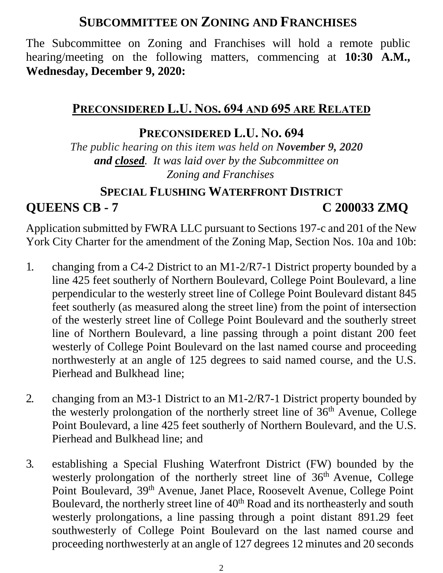# **SUBCOMMITTEE ON ZONING AND FRANCHISES**

The Subcommittee on Zoning and Franchises will hold a remote public hearing/meeting on the following matters, commencing at **10:30 A.M., Wednesday, December 9, 2020:**

## **PRECONSIDERED L.U. NOS. 694 AND 695 ARE RELATED**

## **PRECONSIDERED L.U. NO. 694**

*The public hearing on this item was held on November 9, 2020 and closed. It was laid over by the Subcommittee on Zoning and Franchises*

## **SPECIAL FLUSHING WATERFRONT DISTRICT QUEENS CB - 7 C 200033 ZMQ**

Application submitted by FWRA LLC pursuant to Sections 197-c and 201 of the New York City Charter for the amendment of the Zoning Map, Section Nos. 10a and 10b:

- 1. changing from a C4-2 District to an M1-2/R7-1 District property bounded by a line 425 feet southerly of Northern Boulevard, College Point Boulevard, a line perpendicular to the westerly street line of College Point Boulevard distant 845 feet southerly (as measured along the street line) from the point of intersection of the westerly street line of College Point Boulevard and the southerly street line of Northern Boulevard, a line passing through a point distant 200 feet westerly of College Point Boulevard on the last named course and proceeding northwesterly at an angle of 125 degrees to said named course, and the U.S. Pierhead and Bulkhead line;
- 2. changing from an M3-1 District to an M1-2/R7-1 District property bounded by the westerly prolongation of the northerly street line of 36<sup>th</sup> Avenue, College Point Boulevard, a line 425 feet southerly of Northern Boulevard, and the U.S. Pierhead and Bulkhead line; and
- 3. establishing a Special Flushing Waterfront District (FW) bounded by the westerly prolongation of the northerly street line of  $36<sup>th</sup>$  Avenue, College Point Boulevard, 39th Avenue, Janet Place, Roosevelt Avenue, College Point Boulevard, the northerly street line of 40<sup>th</sup> Road and its northeasterly and south westerly prolongations, a line passing through a point distant 891.29 feet southwesterly of College Point Boulevard on the last named course and proceeding northwesterly at an angle of 127 degrees 12 minutes and 20 seconds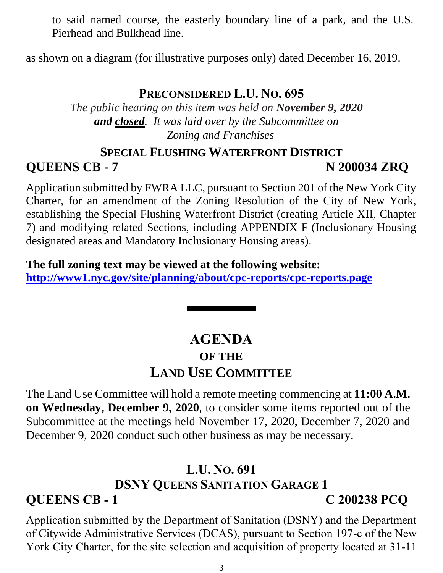to said named course, the easterly boundary line of a park, and the U.S. Pierhead and Bulkhead line.

as shown on a diagram (for illustrative purposes only) dated December 16, 2019.

### **PRECONSIDERED L.U. NO. 695**

*The public hearing on this item was held on November 9, 2020 and closed. It was laid over by the Subcommittee on Zoning and Franchises*

### **SPECIAL FLUSHING WATERFRONT DISTRICT**

**QUEENS CB - 7 N 200034 ZRQ**

Application submitted by FWRA LLC, pursuant to Section 201 of the New York City Charter, for an amendment of the Zoning Resolution of the City of New York, establishing the Special Flushing Waterfront District (creating Article XII, Chapter 7) and modifying related Sections, including APPENDIX F (Inclusionary Housing designated areas and Mandatory Inclusionary Housing areas).

**The full zoning text may be viewed at the following website: <http://www1.nyc.gov/site/planning/about/cpc-reports/cpc-reports.page>**

# **AGENDA OF THE LAND USE COMMITTEE**

The Land Use Committee will hold a remote meeting commencing at **11:00 A.M. on Wednesday, December 9, 2020**, to consider some items reported out of the Subcommittee at the meetings held November 17, 2020, December 7, 2020 and December 9, 2020 conduct such other business as may be necessary.

# **L.U. NO. 691 DSNY QUEENS SANITATION GARAGE 1 QUEENS CB - 1 C 200238 PCQ**

Application submitted by the Department of Sanitation (DSNY) and the Department of Citywide Administrative Services (DCAS), pursuant to Section 197-c of the New York City Charter, for the site selection and acquisition of property located at 31-11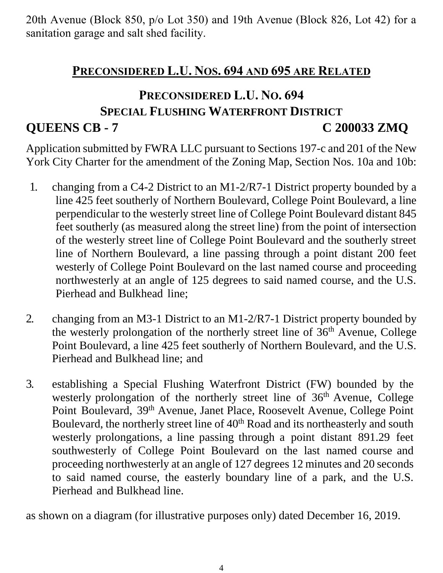20th Avenue (Block 850, p/o Lot 350) and 19th Avenue (Block 826, Lot 42) for a sanitation garage and salt shed facility.

## **PRECONSIDERED L.U. NOS. 694 AND 695 ARE RELATED**

# **PRECONSIDERED L.U. NO. 694 SPECIAL FLUSHING WATERFRONT DISTRICT QUEENS CB - 7 C 200033 ZMQ**

Application submitted by FWRA LLC pursuant to Sections 197-c and 201 of the New York City Charter for the amendment of the Zoning Map, Section Nos. 10a and 10b:

- 1. changing from a C4-2 District to an M1-2/R7-1 District property bounded by a line 425 feet southerly of Northern Boulevard, College Point Boulevard, a line perpendicular to the westerly street line of College Point Boulevard distant 845 feet southerly (as measured along the street line) from the point of intersection of the westerly street line of College Point Boulevard and the southerly street line of Northern Boulevard, a line passing through a point distant 200 feet westerly of College Point Boulevard on the last named course and proceeding northwesterly at an angle of 125 degrees to said named course, and the U.S. Pierhead and Bulkhead line;
- 2. changing from an M3-1 District to an M1-2/R7-1 District property bounded by the westerly prolongation of the northerly street line of 36<sup>th</sup> Avenue, College Point Boulevard, a line 425 feet southerly of Northern Boulevard, and the U.S. Pierhead and Bulkhead line; and
- 3. establishing a Special Flushing Waterfront District (FW) bounded by the westerly prolongation of the northerly street line of  $36<sup>th</sup>$  Avenue, College Point Boulevard, 39th Avenue, Janet Place, Roosevelt Avenue, College Point Boulevard, the northerly street line of 40<sup>th</sup> Road and its northeasterly and south westerly prolongations, a line passing through a point distant 891.29 feet southwesterly of College Point Boulevard on the last named course and proceeding northwesterly at an angle of 127 degrees 12 minutes and 20 seconds to said named course, the easterly boundary line of a park, and the U.S. Pierhead and Bulkhead line.

as shown on a diagram (for illustrative purposes only) dated December 16, 2019.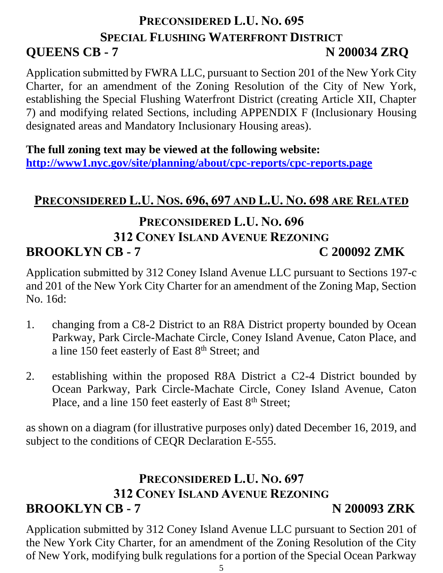# **PRECONSIDERED L.U. NO. 695 SPECIAL FLUSHING WATERFRONT DISTRICT QUEENS CB - 7 N 200034 ZRQ**

Application submitted by FWRA LLC, pursuant to Section 201 of the New York City Charter, for an amendment of the Zoning Resolution of the City of New York, establishing the Special Flushing Waterfront District (creating Article XII, Chapter 7) and modifying related Sections, including APPENDIX F (Inclusionary Housing designated areas and Mandatory Inclusionary Housing areas).

### **The full zoning text may be viewed at the following website:**

**<http://www1.nyc.gov/site/planning/about/cpc-reports/cpc-reports.page>**

# **PRECONSIDERED L.U. NOS. 696, 697 AND L.U. NO. 698 ARE RELATED**

# **PRECONSIDERED L.U. NO. 696 312 CONEY ISLAND AVENUE REZONING BROOKLYN CB - 7 C 200092 ZMK**

Application submitted by 312 Coney Island Avenue LLC pursuant to Sections 197-c and 201 of the New York City Charter for an amendment of the Zoning Map, Section No. 16d:

- 1. changing from a C8-2 District to an R8A District property bounded by Ocean Parkway, Park Circle-Machate Circle, Coney Island Avenue, Caton Place, and a line 150 feet easterly of East 8<sup>th</sup> Street; and
- 2. establishing within the proposed R8A District a C2-4 District bounded by Ocean Parkway, Park Circle-Machate Circle, Coney Island Avenue, Caton Place, and a line 150 feet easterly of East  $8<sup>th</sup>$  Street;

as shown on a diagram (for illustrative purposes only) dated December 16, 2019, and subject to the conditions of CEQR Declaration E-555.

# **PRECONSIDERED L.U. NO. 697 312 CONEY ISLAND AVENUE REZONING BROOKLYN CB - 7 N 200093 ZRK**

Application submitted by 312 Coney Island Avenue LLC pursuant to Section 201 of the New York City Charter, for an amendment of the Zoning Resolution of the City of New York, modifying bulk regulations for a portion of the Special Ocean Parkway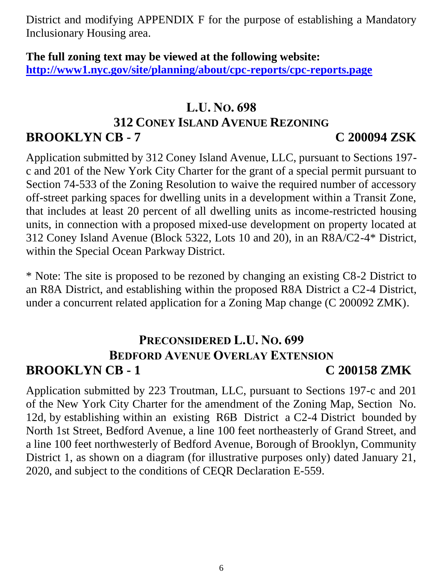District and modifying APPENDIX F for the purpose of establishing a Mandatory Inclusionary Housing area.

### **The full zoning text may be viewed at the following website: <http://www1.nyc.gov/site/planning/about/cpc-reports/cpc-reports.page>**

### **L.U. NO. 698**

### **312 CONEY ISLAND AVENUE REZONING**

# **BROOKLYN CB - 7 C 200094 ZSK**

Application submitted by 312 Coney Island Avenue, LLC, pursuant to Sections 197 c and 201 of the New York City Charter for the grant of a special permit pursuant to Section 74-533 of the Zoning Resolution to waive the required number of accessory off-street parking spaces for dwelling units in a development within a Transit Zone, that includes at least 20 percent of all dwelling units as income-restricted housing units, in connection with a proposed mixed-use development on property located at 312 Coney Island Avenue (Block 5322, Lots 10 and 20), in an R8A/C2-4\* District, within the Special Ocean Parkway District.

\* Note: The site is proposed to be rezoned by changing an existing C8-2 District to an R8A District, and establishing within the proposed R8A District a C2-4 District, under a concurrent related application for a Zoning Map change (C 200092 ZMK).

# **PRECONSIDERED L.U. NO. 699 BEDFORD AVENUE OVERLAY EXTENSION BROOKLYN CB - 1 C 200158 ZMK**

Application submitted by 223 Troutman, LLC, pursuant to Sections 197-c and 201 of the New York City Charter for the amendment of the Zoning Map, Section No. 12d, by establishing within an existing R6B District a C2-4 District bounded by North 1st Street, Bedford Avenue, a line 100 feet northeasterly of Grand Street, and a line 100 feet northwesterly of Bedford Avenue, Borough of Brooklyn, Community District 1, as shown on a diagram (for illustrative purposes only) dated January 21, 2020, and subject to the conditions of CEQR Declaration E-559.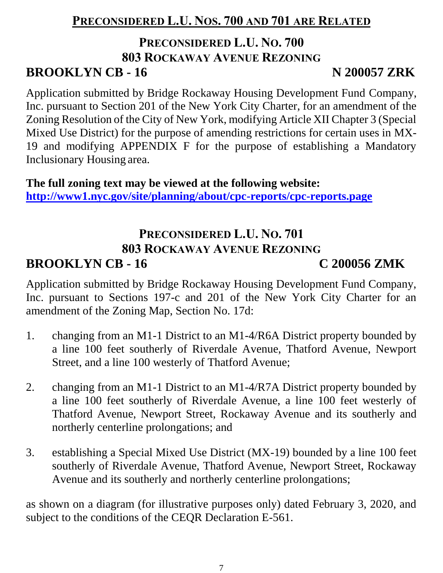# **PRECONSIDERED L.U. NOS. 700 AND 701 ARE RELATED**

## **PRECONSIDERED L.U. NO. 700 803 ROCKAWAY AVENUE REZONING BROOKLYN CB - 16 N 200057 ZRK**

Application submitted by Bridge Rockaway Housing Development Fund Company, Inc. pursuant to Section 201 of the New York City Charter, for an amendment of the Zoning Resolution of the City of New York, modifying Article XII Chapter 3 (Special Mixed Use District) for the purpose of amending restrictions for certain uses in MX-

19 and modifying APPENDIX F for the purpose of establishing a Mandatory Inclusionary Housing area.

**The full zoning text may be viewed at the following website: <http://www1.nyc.gov/site/planning/about/cpc-reports/cpc-reports.page>**

## **PRECONSIDERED L.U. NO. 701 803 ROCKAWAY AVENUE REZONING BROOKLYN CB - 16 C 200056 ZMK**

Application submitted by Bridge Rockaway Housing Development Fund Company, Inc. pursuant to Sections 197-c and 201 of the New York City Charter for an amendment of the Zoning Map, Section No. 17d:

- 1. changing from an M1-1 District to an M1-4/R6A District property bounded by a line 100 feet southerly of Riverdale Avenue, Thatford Avenue, Newport Street, and a line 100 westerly of Thatford Avenue;
- 2. changing from an M1-1 District to an M1-4/R7A District property bounded by a line 100 feet southerly of Riverdale Avenue, a line 100 feet westerly of Thatford Avenue, Newport Street, Rockaway Avenue and its southerly and northerly centerline prolongations; and
- 3. establishing a Special Mixed Use District (MX-19) bounded by a line 100 feet southerly of Riverdale Avenue, Thatford Avenue, Newport Street, Rockaway Avenue and its southerly and northerly centerline prolongations;

as shown on a diagram (for illustrative purposes only) dated February 3, 2020, and subject to the conditions of the CEQR Declaration E-561.